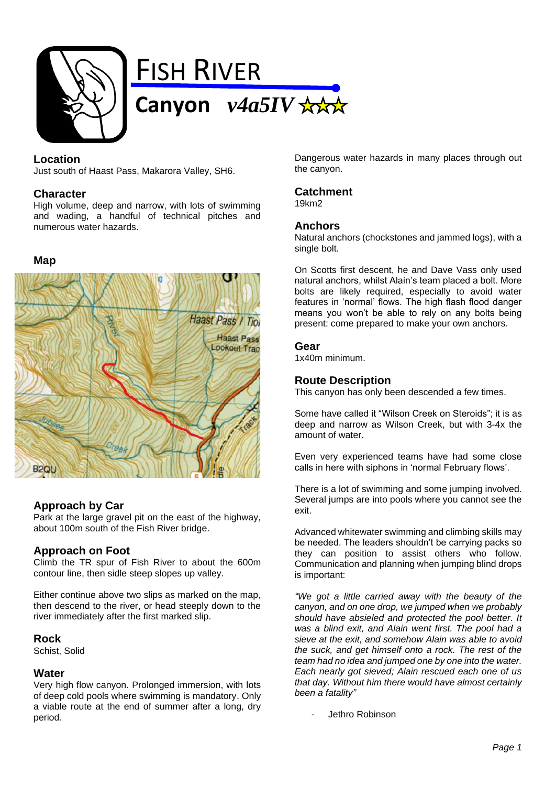

# **Location**

Just south of Haast Pass, Makarora Valley, SH6.

### **Character**

High volume, deep and narrow, with lots of swimming and wading, a handful of technical pitches and numerous water hazards.

#### **Map**



# **Approach by Car**

Park at the large gravel pit on the east of the highway, about 100m south of the Fish River bridge.

# **Approach on Foot**

Climb the TR spur of Fish River to about the 600m contour line, then sidle steep slopes up valley.

Either continue above two slips as marked on the map, then descend to the river, or head steeply down to the river immediately after the first marked slip.

#### **Rock**

Schist, Solid

#### **Water**

Very high flow canyon. Prolonged immersion, with lots of deep cold pools where swimming is mandatory. Only a viable route at the end of summer after a long, dry period.

Dangerous water hazards in many places through out the canyon.

### **Catchment**

19km2

#### **Anchors**

Natural anchors (chockstones and jammed logs), with a single bolt.

On Scotts first descent, he and Dave Vass only used natural anchors, whilst Alain's team placed a bolt. More bolts are likely required, especially to avoid water features in 'normal' flows. The high flash flood danger means you won't be able to rely on any bolts being present: come prepared to make your own anchors.

### **Gear**

1x40m minimum.

# **Route Description**

This canyon has only been descended a few times.

Some have called it "Wilson Creek on Steroids"; it is as deep and narrow as Wilson Creek, but with 3-4x the amount of water.

Even very experienced teams have had some close calls in here with siphons in 'normal February flows'.

There is a lot of swimming and some jumping involved. Several jumps are into pools where you cannot see the exit.

Advanced whitewater swimming and climbing skills may be needed. The leaders shouldn't be carrying packs so they can position to assist others who follow. Communication and planning when jumping blind drops is important:

*"We got a little carried away with the beauty of the canyon, and on one drop, we jumped when we probably should have absieled and protected the pool better. It was a blind exit, and Alain went first. The pool had a sieve at the exit, and somehow Alain was able to avoid the suck, and get himself onto a rock. The rest of the team had no idea and jumped one by one into the water. Each nearly got sieved; Alain rescued each one of us that day. Without him there would have almost certainly been a fatality"*

Jethro Robinson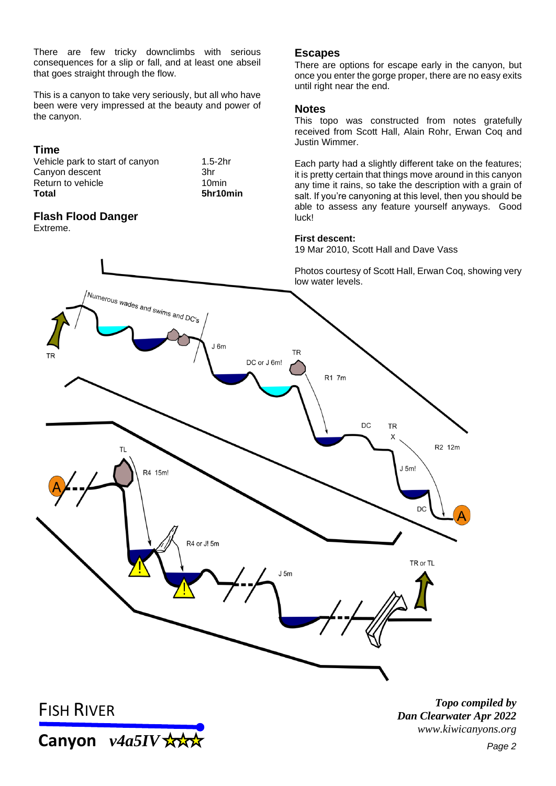There are few tricky downclimbs with serious consequences for a slip or fall, and at least one abseil that goes straight through the flow.

This is a canyon to take very seriously, but all who have been were very impressed at the beauty and power of the canyon.

# **Time**

| Total                           | 5hr10min  |
|---------------------------------|-----------|
| Return to vehicle               | 10min     |
| Canyon descent                  | .3hr      |
| Vehicle park to start of canyon | $1.5-2hr$ |

# **Flash Flood Danger**

Extreme.

# **Escapes**

There are options for escape early in the canyon, but once you enter the gorge proper, there are no easy exits until right near the end.

### **Notes**

This topo was constructed from notes gratefully received from Scott Hall, Alain Rohr, Erwan Coq and Justin Wimmer.

Each party had a slightly different take on the features; it is pretty certain that things move around in this canyon any time it rains, so take the description with a grain of salt. If you're canyoning at this level, then you should be able to assess any feature yourself anyways. Good luck!

### **First descent:**

19 Mar 2010, Scott Hall and Dave Vass

Photos courtesy of Scott Hall, Erwan Coq, showing very low water levels.



**Canyon** *v4a5IV* 

*Topo compiled by Dan Clearwater Apr 2022 www.kiwicanyons.org*